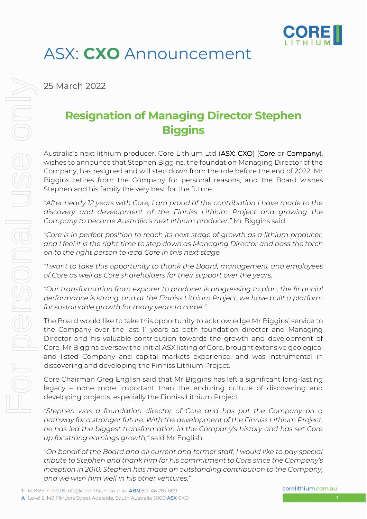

## ASX: **CXO** Announcement

25 March 2022

## **Resignation of Managing Director Stephen Biggins**

Australia's next lithium producer, Core Lithium Ltd (ASX: CXO) (Core or Company), wishes to announce that Stephen Biggins, the foundation Managing Director of the Company, has resigned and will step down from the role before the end of 2022. Mr Biggins retires from the Company for personal reasons, and the Board wishes Stephen and his family the very best for the future.

*"After nearly 12 years with Core, I am proud of the contribution I have made to the discovery and development of the Finniss Lithium Project and growing the Company to become Australia's next lithium producer,"* Mr Biggins said.

*"Core is in perfect position to reach its next stage of growth as a lithium producer, and I feel it is the right time to step down as Managing Director and pass the torch on to the right person to lead Core in this next stage.* 

*"I want to take this opportunity to thank the Board, management and employees of Core as well as Core shareholders for their support over the years.*

*"Our transformation from explorer to producer is progressing to plan, the financial performance is strong, and at the Finniss Lithium Project, we have built a platform for sustainable growth for many years to come."*

The Board would like to take this opportunity to acknowledge Mr Biggins' service to the Company over the last 11 years as both foundation director and Managing Director and his valuable contribution towards the growth and development of Core. Mr Biggins oversaw the initial ASX listing of Core, brought extensive geological and listed Company and capital markets experience, and was instrumental in discovering and developing the Finniss Lithium Project.

Core Chairman Greg English said that Mr Biggins has left a significant long-lasting legacy – none more important than the enduring culture of discovering and developing projects, especially the Finniss Lithium Project.

*"Stephen was a foundation director of Core and has put the Company on a pathway for a stronger future. With the development of the Finniss Lithium Project, he has led the biggest transformation in the Company's history and has set Core up for strong earnings growth,"* said Mr English.

*"On behalf of the Board and all current and former staff, I would like to pay special tribute to Stephen and thank him for his commitment to Core since the Company's inception in 2010. Stephen has made an outstanding contribution to the Company, and we wish him well in his other ventures."*